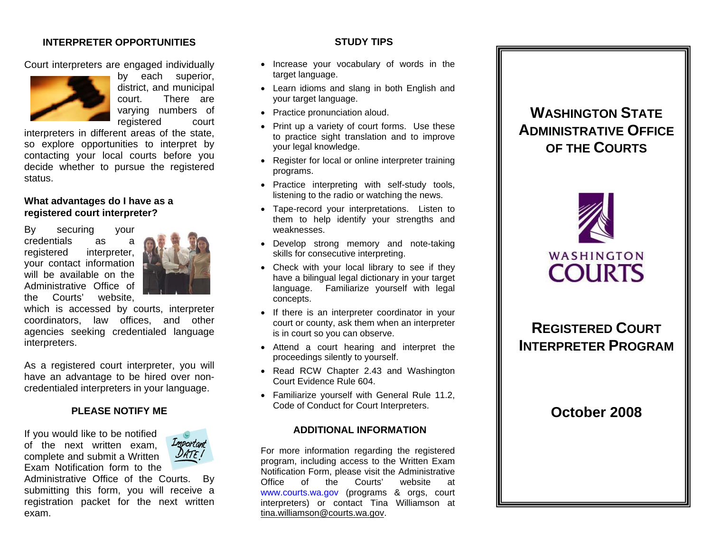## **INTERPRETER OPPORTUNITIES**

Court interpreters are engaged individually



by each superior, district, and municipal court. There are varying numbers of registered court

interpreters in different areas of the state, so explore opportunities to interpret by contacting your local courts before you decide whether to pursue the registered status.

## **What advantages do I have as a registered court interpreter?**

By securing your credentials as a registered interpreter, your contact information will be available on the Administrative Office of the Courts' website,



which is accessed by courts, interpreter coordinators, law offices, and other agencies seeking credentialed language interpreters.

As a registered court interpreter, you will have an advantage to be hired over noncredentialed interpreters in your language.

### **PLEASE NOTIFY ME**

If you would like to be notified of the next written exam, complete and submit a Written Exam Notification form to the



Administrative Office of the Courts. By submitting this form, you will receive a registration packet for the next written exam.

## **STUDY TIPS**

- Increase your vocabulary of words in the target language.
- Learn idioms and slang in both English and your target language.
- Practice pronunciation aloud.
- Print up a variety of court forms. Use these to practice sight translation and to improve your legal knowledge.
- Register for local or online interpreter training programs.
- Practice interpreting with self-study tools, listening to the radio or watching the news.
- Tape-record your interpretations. Listen to them to help identify your strengths and weaknesses.
- Develop strong memory and note-taking skills for consecutive interpreting.
- Check with your local library to see if they have a bilingual legal dictionary in your target language. Familiarize yourself with legal concepts.
- If there is an interpreter coordinator in your court or county, ask them when an interpreter is in court so you can observe.
- Attend a court hearing and interpret the proceedings silently to yourself.
- Read RCW Chapter 2.43 and Washington Court Evidence Rule 604.
- Familiarize yourself with General Rule 11.2, Code of Conduct for Court Interpreters.

### **ADDITIONAL INFORMATION**

For more information regarding the registered program, including access to the Written Exam Notification Form, please visit the Administrative Office of the Courts' website at [www.courts.wa.gov](http://www.courts.wa.gov/) (programs & orgs, court interpreters) or contact Tina Williamson at [tina.williamson@courts.wa.gov](mailto:tina.williamson@courts.wa.gov).

# **WASHINGTON STATEADMINISTRATIVE OFFICEOF THE COURTS**



# **REGISTERED COURTINTERPRETER PROGRAM**

**October 2008**